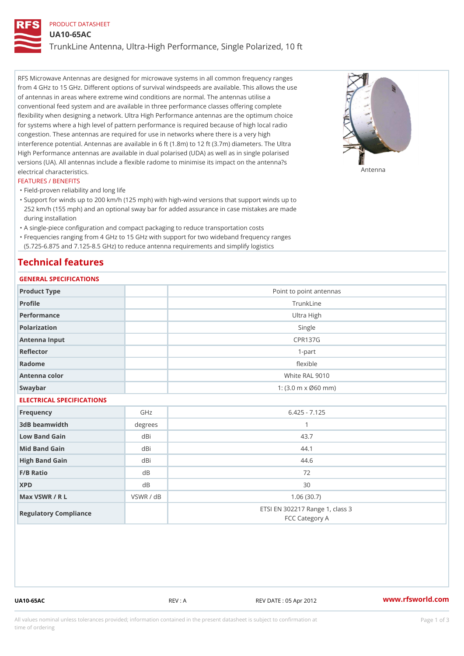## PRODUCT DATASHEET

UA10-65AC

TrunkLine Antenna, Ultra-High Performance, Single Polarized, 10 ft

RFS Microwave Antennas are designed for microwave systems in all common frequency ranges from 4 GHz to 15 GHz. Different options of survival windspeeds are available. This allows the use of antennas in areas where extreme wind conditions are normal. The antennas utilise a conventional feed system and are available in three performance classes offering complete flexibility when designing a network. Ultra High Performance antennas are the optimum choice for systems where a high level of pattern performance is required because of high local radio congestion. These antennas are required for use in networks where there is a very high interference potential. Antennas are available in 6 ft (1.8m) to 12 ft (3.7m) diameters. The Ultra High Performance antennas are available in dual polarised (UDA) as well as in single polarised versions (UA). All antennas include a flexible radome to minimise its impact on the antenna?s electrical characteristics. Antenna

### FEATURES / BENEFITS

"Field-proven reliability and long life

- Support for winds up to 200 km/h (125 mph) with high-wind versions that support winds up to " 252 km/h (155 mph) and an optional sway bar for added assurance in case mistakes are made during installation
- "A single-piece configuration and compact packaging to reduce transportation costs
- Frequencies ranging from 4 GHz to 15 GHz with support for two wideband frequency ranges "
- (5.725-6.875 and 7.125-8.5 GHz) to reduce antenna requirements and simplify logistics

## Technical features

# GENERAL SPECIFICATIONS

| GENERAL SELGIFICATIONS    |           |                                                   |  |  |
|---------------------------|-----------|---------------------------------------------------|--|--|
| Product Type              |           | Point to point antennas                           |  |  |
| Profile                   |           | TrunkLine                                         |  |  |
| Performance               |           | Ultra High                                        |  |  |
| Polarization              |           | Single                                            |  |  |
| Antenna Input             |           | <b>CPR137G</b>                                    |  |  |
| Reflector                 |           | $1 - p$ art                                       |  |  |
| Radome                    |           | flexible                                          |  |  |
| Antenna color             |           | White RAL 9010                                    |  |  |
| Swaybar                   |           | 1: $(3.0 m \times 060 mm)$                        |  |  |
| ELECTRICAL SPECIFICATIONS |           |                                                   |  |  |
| Frequency                 | GHz       | $6.425 - 7.125$                                   |  |  |
| 3dB beamwidth             | degrees   | $\mathbf{1}$                                      |  |  |
| Low Band Gain             | dBi       | 43.7                                              |  |  |
| Mid Band Gain             | dBi       | 44.1                                              |  |  |
| High Band Gain            | dBi       | 44.6                                              |  |  |
| F/B Ratio                 | d B       | 72                                                |  |  |
| <b>XPD</b>                | d B       | 30                                                |  |  |
| Max VSWR / R L            | VSWR / dB | 1.06(30.7)                                        |  |  |
| Regulatory Compliance     |           | ETSI EN 302217 Range 1, class 3<br>FCC Category A |  |  |

UA10-65AC REV : A REV DATE : 05 Apr 2012 [www.](https://www.rfsworld.com)rfsworld.com

All values nominal unless tolerances provided; information contained in the present datasheet is subject to Pcapgeign mation time of ordering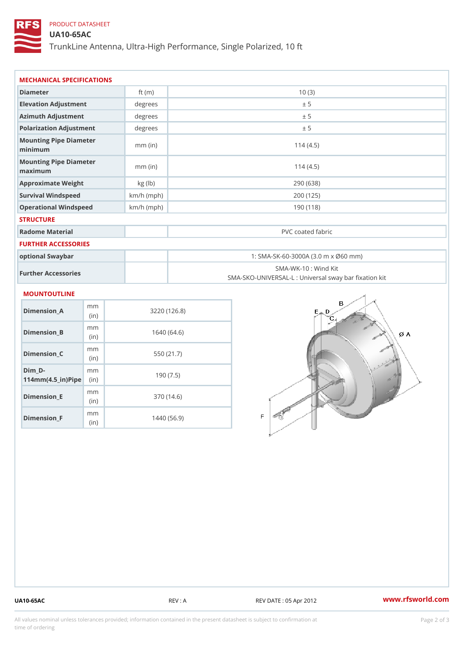# PRODUCT DATASHEET

UA10-65AC

TrunkLine Antenna, Ultra-High Performance, Single Polarized, 10 ft

| MECHANICAL SPECIFICATIONS                                                         |              |                                                                          |  |
|-----------------------------------------------------------------------------------|--------------|--------------------------------------------------------------------------|--|
| Diameter                                                                          | ft $(m)$     | 10(3)                                                                    |  |
| Elevation Adjustment                                                              | degree:      | ± 5                                                                      |  |
| Azimuth Adjustment                                                                | degrees      | ± 5                                                                      |  |
| Polarization Adjustment                                                           | degrees      | ± 5                                                                      |  |
| Mounting Pipe Diameter<br>minimum                                                 | $mm$ (in)    | 114(4.5)                                                                 |  |
| Mounting Pipe Diameter<br>maximum                                                 | $mm$ (in)    | 114(4.5)                                                                 |  |
| Approximate Weight                                                                | kg (lb)      | 290 (638)                                                                |  |
| Survival Windspeed                                                                | $km/h$ (mph) | 200 (125)                                                                |  |
| Operational Windspeed                                                             | $km/h$ (mph) | 190 (118)                                                                |  |
| <b>STRUCTURE</b>                                                                  |              |                                                                          |  |
| Radome Material                                                                   |              | PVC coated fabric                                                        |  |
| FURTHER ACCESSORIES                                                               |              |                                                                          |  |
| optional Swaybar                                                                  |              | 1: SMA-SK-60-3000A (3.0 m x Ø60 mm)                                      |  |
| Further Accessories                                                               |              | SMA-WK-10: Wind Kit<br>SMA-SKO-UNIVERSAL-L : Universal sway bar fixation |  |
| MOUNTOUTLINE                                                                      |              |                                                                          |  |
| m m<br>$Dimension_A$<br>(in)                                                      |              | 3220 (126.8)                                                             |  |
| m m<br>Dimension_B<br>(in)                                                        |              | 1640(64.6)                                                               |  |
| m <sub>m</sub><br>$Dimension_C$<br>(in)                                           |              | 550 (21.7)                                                               |  |
| $Dim_D - D -$<br>m <sub>m</sub><br>$114$ m m (4.5 _ i r ) $\sqrt{$ iip $\sqrt{ }$ |              | 190(7.5)                                                                 |  |
|                                                                                   |              |                                                                          |  |

Dimension\_E

Dimension\_F

mm (in)

m<sub>m</sub> (in)

370 (14.6)

1440 (56.9)

UA10-65AC REV : A REV DATE : 05 Apr 2012 [www.](https://www.rfsworld.com)rfsworld.com